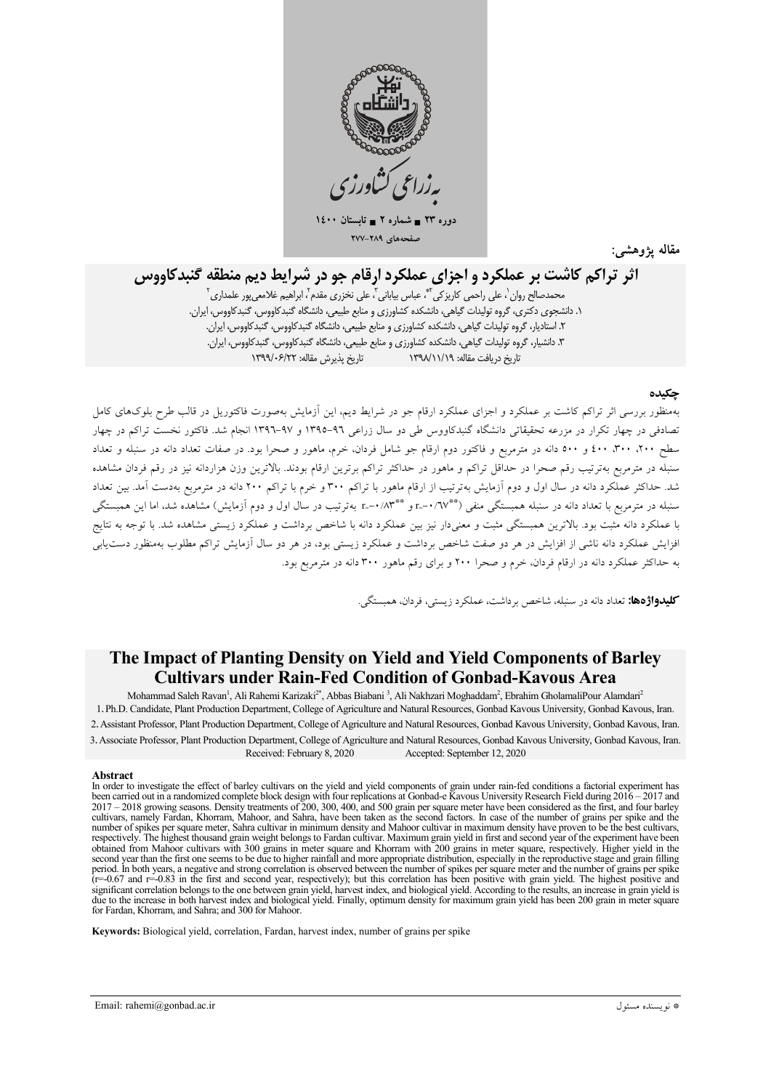

دورہ ۲۳ = شمارہ ۲ = تابہ  $15 \leftrightarrow 70$ صفحههای ۲۸۹-۲۷۷

مقاله يژوهشم

# اثر تراکم کاشت بر عملکرد و اجزای عملکرد ارقام جو در شرایط دیم منطقه گنبدکاووس

محمدصالح روان`، علی راحمی کاریز کی<sup>۴</sup>، عباس بیابانی<sup>۳</sup>، علی نخزری مقدم<sup>۲</sup>، ابراهیم غلامعی یور علمداری<sup>۲</sup> ۱. دانشجوی دکتری، گروه تولیدات گیاهی، دانشکده کشاورزی و منابع طبیعی، دانشگاه گنبدکاووس، گنبدکاووس، ایران. ۲. استادیار، گروه تولیدات گیاهی، دانشکده کشاورزی و منابع طبیعی، دانشگاه گنبدکاووس، گنبدکاووس، ایران. ۳. دانشیار، گروه تولیدات گیاهی، دانشکده کشاورزی و منابع طبیعی، دانشگاه گنبدکاووس، گنبدکاووس، ایران. تاريخ يذيرش مقاله: ١٣٩٩/٠۶/٢٢ تاریخ دریافت مقاله: ۱۳۹۸/۱۱/۱۹

#### حكىدە

بهمنظور بررسی اثر تراکم کاشت بر عملکرد و اجزای عملکرد ارقام جو در شرایط دیم، این آزمایش بهصورت فاکتوریل در قالب طرح بلوکهای کامل تصادفی در چهار تکرار در مزرعه تحقیقاتی دانشگاه گنبدکاووس طی دو سال زراعی ۹٦-١٣٩٥ و ٩٧-١٣٩٦ انجام شد. فاکتور نخست تراکم در چهار سطح ۲۰۰، ۲۰۰، ٤٠٠ و ٥٠٠ دانه در مترمربع و فاكتور دوم ارقام جو شامل فردان، خرم، ماهور و صحرا بود. در صفات تعداد دانه در سنبله و تعداد سنبله در مترمربع بهترتيب رقم صحرا در حداقل تراكم و ماهور در حداكثر تراكم برترين ارقام بودند. بالاترين وزن هزاردانه نيز در رقم فردان مشاهده شد. حداکثر عملکرد دانه در سال اول و دوم آزمایش بهترتیب از ارقام ماهور با تراکم ۳۰۰ و خرم با تراکم ۲۰۰ دانه در مترمربع بهدست آمد. بین تعداد سنبله در مترمربع با تعداد دانه در سنبله همبستگی منفی (\*\*\*۱۷\*\*==π و \*\*\*۱۸۲\*=π بهترتیب در سال اول و دوم اَزمایش) مشاهده شد، اما این همبستگی با عملکرد دانه مثبت بود. بالاترین همبستگی مثبت و معنیدار نیز بین عملکرد دانه با شاخص برداشت و عملکرد زیستی مشاهده شد. با توجه به نتایج افزایش عملکرد دانه ناشی از افزایش در هر دو صفت شاخص برداشت و عملکرد زیستی بود، در هر دو سال آزمایش تراکم مطلوب بهمنظور دست یابی به حداکثر عملکرد دانه در ارقام فردان، خرم و صحرا ۲۰۰ و برای رقم ماهور ۳۰۰ دانه در مترمربع بود.

**کلیدواژهها:** تعداد دانه در سنبله، شاخص برداشت، عملکرد ز ستر ,، فردان، همستگر ..

### The Impact of Planting Density on Yield and Yield Components of Barley **Cultivars under Rain-Fed Condition of Gonbad-Kavous Area**

Mohammad Saleh Ravan<sup>1</sup>, Ali Rahemi Karizaki<sup>2\*</sup>, Abbas Biabani<sup>3</sup>, Ali Nakhzari Moghaddam<sup>2</sup>, Ebrahim GholamaliPour Alamdari<sup>2</sup> 1. Ph.D. Candidate, Plant Production Department, College of Agriculture and Natural Resources, Gonbad Kavous University, Gonbad Kavous, Iran. 2. Assistant Professor, Plant Production Department, College of Agriculture and Natural Resources, Gonbad Kavous University, Gonbad Kavous, Iran. 3. Associate Professor, Plant Production Department, College of Agriculture and Natural Resources, Gonbad Kavous University, Gonbad Kavous, Iran. Received: February 8, 2020 Accepted: September 12, 2020

#### Abstract

In order to investigate the effect of barley cultivars on the yield and yield components of grain under rain-fed conditions a factorial experiment has<br>been carried out in a randomized complete block design with four replic 2017 - 2018 growing seasons. Density treatments of 200, 300, 400, and 500 grain per square meter have been considered as the first, and four barley cultivars, namely Fardan, Khorram, Mahoor, and Sahra, have been taken as the second factors. In case of the number of grains per spike and the number of spikes per square meter, Sahra cultivar in minimum density and Mahoor cultivar in maximum density have proven to be the best cultivars, respectively. The highest thousand grain weight belongs to Fardan cultivar. Maximum grain yield in first and second year of the experiment have been obtained from Mahoor cultivars with 300 grains in meter square and Khorram with 200 grains in meter square, respectively. Higher yield in the second year than the first one seems to be due to higher rainfall and more appro period. In both years, a negative and strong correlation is observed between the number of spikes per square meter and the number of grains per spike  $\epsilon$  (r=-0.67 and r=-0.83 in the first and second year, respectively); but this correlation has been positive with grain yield. The highest positive and significant correlation belongs to the one between grain yield, harv due to the increase in both harvest index and biological yield. Finally, optimum density for maximum grain yield has been 200 grain in meter square for Fardan, Khorram, and Sahra; and 300 for Mahoor.

Keywords: Biological yield, correlation, Fardan, harvest index, number of grains per spike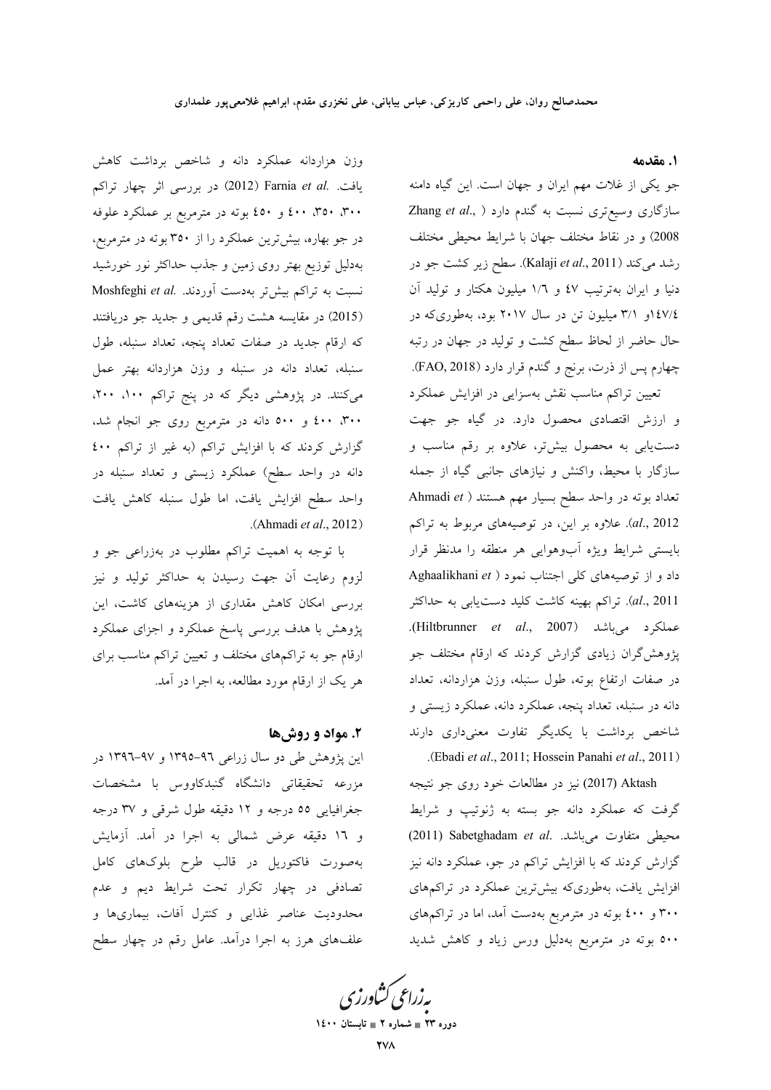١. مقدمه

جو یکی از غلات مهم ایران و جهان است. این گیاه دامنه سازگاری وسیع تری نسبت به گندم دارد ( , ,Zhang et al 2008) و در نقاط مختلف جهان با شرایط محیطی مختلف رشد میکند (Kalaji et al., 2011). سطح زیر کشت جو در دنیا و ایران بهترتیب ٤٧ و ١/٦ میلیون هکتار و تولید آن ١٤٧/٤(و ٣/١ ميليون تن در سال ٢٠١٧ بود، بهطورىكه در حال حاضر از لحاظ سطح کشت و تولید در جهان در رتبه چهارم پس از ذرت، برنج و گندم قرار دارد (FAO, 2018).

تعیین تراکم مناسب نقش بهسزایی در افزایش عملکرد و ارزش اقتصادی محصول دارد. در گیاه جو جهت دستیابی به محصول بیشتر، علاوه بر رقم مناسب و سازگار با محیط، واکنش و نیازهای جانبی گیاه از جمله تعداد بوته در واحد سطح بسیار مهم هستند ( Ahmadi et al., 2012). علاوه بر این، در توصیههای مربوط به تراکم بایستی شرایط ویژه آبوهوایی هر منطقه را مدنظر قرار Aghaalikhani et ) اجتناب نمود ( Aghaalikhani et al., 2011). تراكم بهينه كاشت كليد دستLيابي به حداكثر عملكرد مىباشد (Hiltbrunner *et al.,* 2007). پژوهش گران زیادی گزارش کردند که ارقام مختلف جو در صفات ارتفاع بوته، طول سنبله، وزن هزاردانه، تعداد دانه در سنبله، تعداد پنجه، عملکرد دانه، عملکرد زیستی و شاخص برداشت با یکدیگر تفاوت معنیداری دارند .(Ebadi et al., 2011; Hossein Panahi et al., 2011)

Aktash (2017) نیز در مطالعات خود روی جو نتیجه گرفت که عملکرد دانه جو بسته به ژنوتیپ و شرایط (2011) Sabetghadam et al. محيطى متفاوت مى باشد. گزارش کردند که با افزایش تراکم در جو، عملکرد دانه نیز افزایش یافت، بهطوریکه بیشترین عملکرد در تراکمهای ۳۰۰ و ٤٠٠ بوته در مترمربع بهدست آمد، اما در تراكمهاى ٥٠٠ بوته در مترمربع بهدلیل ورس زیاد و کاهش شدید

وزن هزاردانه عملکرد دانه و شاخص برداشت کاهش یافت. .Farnia et al (2012) در بررسی اثر چهار تراکم ۳۰۰، ۳۵۰، ٤٠٠ و ٤٥٠ بوته در مترمربع بر عملكرد علوفه در جو بهاره، بیشترین عملکرد را از ۳۵۰ بوته در مترمربع، بهدلیل توزیع بهتر روی زمین و جذب حداکثر نور خورشید نسبت به تراکم بیش تر بهدست آوردند. Moshfeghi et al. (2015) در مقایسه هشت رقم قدیمی و جدید جو دریافتند که ارقام جدید در صفات تعداد پنجه، تعداد سنبله، طول سنبله، تعداد دانه در سنبله و وزن هزاردانه بهتر عمل میکنند. در پژوهشی دیگر که در پنج تراکم ۱۰۰، ۲۰۰، ۳۰۰، ٤٠٠ و ٥٠٠ دانه در مترمربع روي جو انجام شد، گزارش کردند که با افزایش تراکم (به غیر از تراکم ٤٠٠ دانه در واحد سطح) عملکرد زیستی و تعداد سنبله در واحد سطح افزایش یافت، اما طول سنبله کاهش یافت .(Ahmadi et al., 2012)

با توجه به اهمیت تراکم مطلوب در بهزراعی جو و لزوم رعایت آن جهت رسیدن به حداکثر تولید و نیز بررسی امکان کاهش مقداری از هزینههای کاشت، این پژوهش با هدف بررسی پاسخ عملکرد و اجزای عملکرد ارقام جو به تراکمهای مختلف و تعیین تراکم مناسب برای هر یک از ارقام مورد مطالعه، به اجرا در آمد.

#### ۲. مواد و روشها

این پژوهش طی دو سال زراعی ۹٦-١٣٩٥ و ۹۷-١٣٩٦ در مزرعه تحقیقاتی دانشگاه گنبدکاووس با مشخصات جغرافیایی ٥٥ درجه و ١٢ دقیقه طول شرقی و ٣٧ درجه و ١٦ دقيقه عرض شمالي به اجرا در آمد. آزمايش بهصورت فاکتوریل در قالب طرح بلوکهای کامل تصادفی در چهار تکرار تحت شرایط دیم و عدم محدودیت عناصر غذایی و کنترل آفات، بیماریها و علفهای هرز به اجرا درآمد. عامل رقم در چهار سطح

بەزراعى كشاورزى

دوره ۲۳ = شماره ۲ = تابستان ۱٤۰۰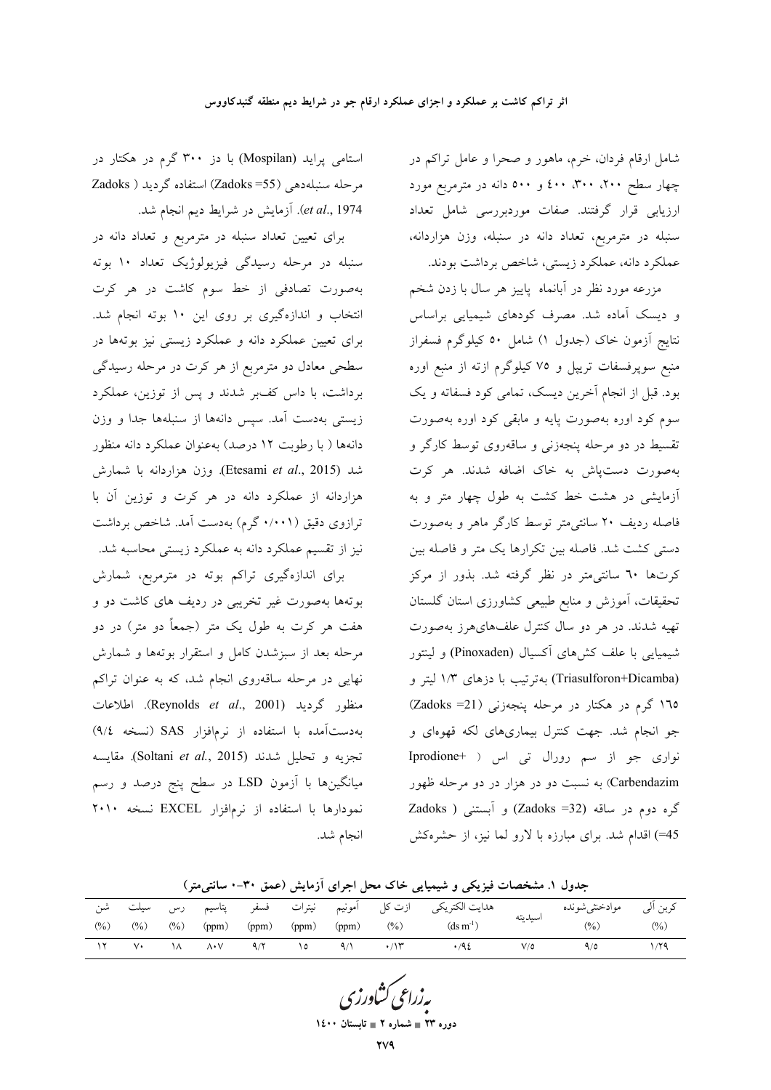شامل ارقام فردان، خرم، ماهور و صحرا و عامل تراکم در چهار سطح ۲۰۰، ۳۰۰، ٤۰۰ و ۵۰۰ دانه در مترمربع مورد ارزیابی قرار گرفتند. صفات موردبررسی شامل تعداد سنبله در مترمربع، تعداد دانه در سنبله، وزن هزاردانه، عملكرد دانه، عملكرد زيستي، شاخص برداشت بودند.

مزرعه مورد نظر در آبانماه پاییز هر سال با زدن شخم و دیسک آماده شد. مصرف کودهای شیمیایی براساس نتايج آزمون خاک (جدول ۱) شامل ۵۰ کيلوگرم فسفراز منبع سوپرفسفات تریپل و ۷۵ کیلوگرم ازته از منبع اوره بود. قبل از انجام آخرین دیسک، تمامی کود فسفاته و یک سوم کود اوره بهصورت پایه و مابقی کود اوره بهصورت تقسیط در دو مرحله پنجهزنی و ساقهروی توسط کارگر و بهصورت دستپاش به خاک اضافه شدند. هر کرت آزمایشی در هشت خط کشت به طول چهار متر و به فاصله رديف ۲۰ سانتي متر توسط كارگر ماهر و بهصورت دستی کشت شد. فاصله بین تکرارها یک متر و فاصله بین کرتها ٦٠ سانتيءمتر در نظر گرفته شد. بذور از مرکز تحقیقات، آموزش و منابع طبیعی کشاورزی استان گلستان تهیه شدند. در هر دو سال کنترل علفهایهرز بهصورت شیمیایی با علف کشهای آکسیال (Pinoxaden) و لینتور (Triasulforon+Dicamba) بهترتيب با دزهاى ١/٣ ليتر و 170 گرم در هکتار در مرحله پنجهزنی (Zadoks =21) جو انجام شد. جهت کنترل بیماریهای لکه قهوهای و نواری جو از سم رورال تی اس ( -Iprodione Carbendazim) به نسبت دو در هزار در دو مرحله ظهور گره دوم در ساقه (Zadoks =32) و آبستنی ( Zadoks 45=) اقدام شد. برای مبارزه با لارو لما نیز، از حشرهکش

استامی پراید (Mospilan) با دز ۳۰۰ گرم در هکتار در مرحله سنبلهدهی (Zadoks =55) استفاده گردید ( Zadoks et al., 1974). آزمایش در شرایط دیم انجام شد.

برای تعیین تعداد سنبله در مترمربع و تعداد دانه در سنبله در مرحله رسیدگی فیزیولوژیک تعداد ۱۰ بوته بهصورت تصادفی از خط سوم کاشت در هر کرت انتخاب و اندازهگیری بر روی این ۱۰ بوته انجام شد. برای تعیین عملکرد دانه و عملکرد زیستی نیز بوتهها در سطحی معادل دو مترمربع از هر کرت در مرحله رسیدگی برداشت، با داس کفبر شدند و پس از توزین، عملکرد زیستی بهدست آمد. سیس دانهها از سنبلهها جدا و وزن دانهها ( با رطوبت ۱۲ درصد) بهعنوان عملکرد دانه منظور شد (Etesami *et al.*, 2015). وزن هزاردانه با شمارش هزاردانه از عملکرد دانه در هر کرت و توزین آن با ترازوی دقیق (۰/۰۰۱ گرم) بهدست آمد. شاخص برداشت نیز از تقسیم عملکرد دانه به عملکرد زیستی محاسبه شد.

برای اندازهگیری تراکم بوته در مترمربع، شمارش بوتهها بهصورت غیر تخریبی در ردیف های کاشت دو و هفت هر کرت به طول یک متر (جمعاً دو متر) در دو مرحله بعد از سبزشدن کامل و استقرار بوتهها و شمارش نهایی در مرحله ساقهروی انجام شد، که به عنوان تراکم منظور گرديد (Reynolds et al., 2001). اطلاعات بهدستآمده با استفاده از نرمافزار SAS (نسخه ٩/٤) تجزيه و تحليل شدند (Soltani *et al.*, 2015). مقايسه میانگینها با آزمون LSD در سطح پنج درصد و رسم نمودارها با استفاده از نرمافزار EXCEL نسخه ۲۰۱۰ انجام شد.

جدول ١. مشخصات فيزيكي و شيميايي خاك محل اجراي آزمايش (عمق ٣٠-٠ سانتي متر)

| شہ∵<br>$(\%)$ | سيلب<br>$(\%)$ | رسر<br>$(\%)$ | پتاسیم<br>(ppm)   | فسفر ,<br>(ppm) | (ppm) | (ppm) | ازت کل آمونیم نیترات<br>(%) | هدايت الكتريكي<br>$(ds m^{-1})$ | سيديته | موادخشي شونده<br>(0/0) | كربن آلي<br>(%) |
|---------------|----------------|---------------|-------------------|-----------------|-------|-------|-----------------------------|---------------------------------|--------|------------------------|-----------------|
|               | $\vee$         | ۱۸            | $\Lambda \cdot V$ | 9/7             | ۱٥    |       |                             | ، ۹٤                            | V/0    | 970                    | ۱٬۲۹            |

<mark>یه زراعی کشاورز</mark> بی

دوره ۲۳ ∎ شماره ۲ ∎ تاب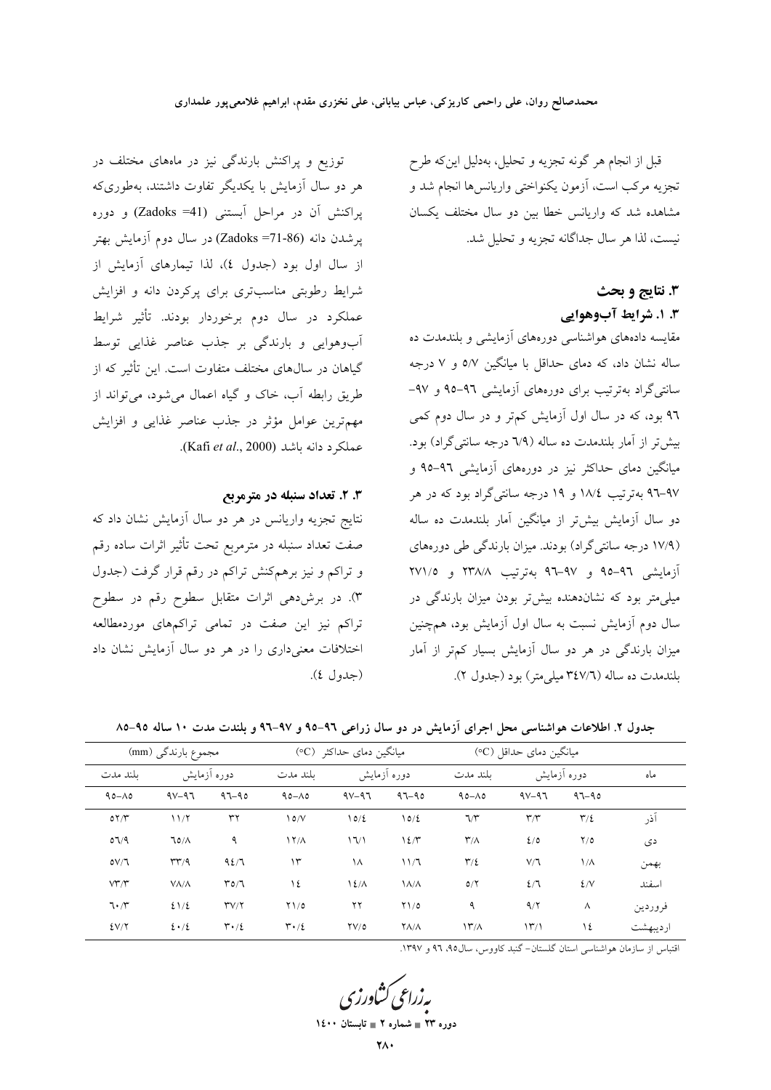#### محمدصالح روان. علي راحمي كاريزكي، عباس بياباني، علي نخزري مقدم، ابراهيم غلامعي پور علمداري

قبل از انجام هر گونه تجزیه و تحلیل، بهدلیل این که طرح تجزيه مركب است، آزمون يكنواختي واريانسها انجام شد و مشاهده شد که واریانس خطا بین دو سال مختلف یکسان نيست، لذا هر سال جداگانه تجزيه و تحليل شد.

# 3. نتايج و بحث

۳. ۱. شرایط آبوهوایی

مقایسه دادههای هواشناسی دورههای آزمایش<sub>ی</sub> و بلندمدت ده ساله نشان داد، که دمای حداقل با میانگین ٥/٧ و ٧ درجه سانتی گراد بهترتیب برای دورههای آزمایشی ۹۲–۹۵ و ۹۷– ۹٦ بود، که در سال اول آزمایش کمتر و در سال دوم کمی بیش تر از آمار بلندمدت ده ساله (٦/٩ درجه سانتی گراد) بود. میانگین دمای حداکثر نیز در دورههای آزمایشی ۹٦–۹۵ و ۹۷–۹۲ بهترتیب ۱۸/٤ و ۱۹ درجه سانتی گراد بود که در هر دو سال آزمایش بیش تر از میانگین آمار بلندمدت ده ساله (۱۷/۹ درجه سانتیگراد) بودند. میزان بارندگی طی دورههای آزمایشی ۹۲–۹۵ و ۹۷–۹۲ بهترتیب ۲۳۸/۸ و ۲۷۱/۵ میلی متر بود که نشاندهنده بیشتر بودن میزان بارندگی در سال دوم آزمایش نسبت به سال اول آزمایش بود، همچنین میزان بارندگی در هر دو سال آزمایش بسیار کم تر از آمار بلندمدت ده ساله (٣٤٧/٦ ميلي متر) بود (جدول ٢).

توزیع و پراکنش بارندگی نیز در ماههای مختلف در هر دو سال آزمایش با یکدیگر تفاوت داشتند، بهطوریکه پراکنش آن در مراحل آبستنی (Zadoks =41) و دوره پرشدن دانه (Zadoks =71-86) در سال دوم آزمایش بهتر از سال اول بود (جدول ٤)، لذا تيمارهاي آزمايش از شرایط رطوبتی مناسبتری برای پرکردن دانه و افزایش عملکرد در سال دوم برخوردار بودند. تأثیر شرایط آبوهوایی و بارندگی بر جذب عناصر غذایی توسط گیاهان در سال@ای مختلف متفاوت است. این تأثیر که از طریق رابطه آب، خاک و گیاه اعمال میشود، میتواند از مهم ترین عوامل مؤثر در جذب عناصر غذایی و افزایش عملكرد دانه باشد (Kafi et al., 2000).

#### 3. ٢. تعداد سنبله در مترمربع

نتایج تجزیه واریانس در هر دو سال آزمایش نشان داد که صفت تعداد سنبله در مترمربع تحت تأثير اثرات ساده رقم و تراکم و نیز برهمکنش تراکم در رقم قرار گرفت (جدول ۳). در برشدهی اثرات متقابل سطوح رقم در سطوح تراکم نیز این صفت در تمامی تراکمهای موردمطالعه اختلافات معنی داری را در هر دو سال آزمایش نشان داد (جدول ٤).

جدول ۲. اطلاعات هواشناسی محل اجرای آزمایش در دو سال زراعی ۹۲-۹۰ و ۹۷-۹۲ و بلندت مدت ۱۰ ساله ۹۵-۸۵

|           | مجموع بارندگی (mm)                |                               |                               | میانگین دمای حداکثر (°C) |                    | میانگین دمای حداقل (°C) |                                       |                         |          |
|-----------|-----------------------------------|-------------------------------|-------------------------------|--------------------------|--------------------|-------------------------|---------------------------------------|-------------------------|----------|
| ىلند مدت  | دوره آزمایش                       |                               | دوره آزمایش<br>ىلند مدت       |                          |                    | ىلند مدت                |                                       | دوره أزمايش             | ماه      |
| $90 - A0$ | $9V - 97$                         | $97 - 90$                     | $90 - A0$                     | $9V - 97$                | $97 - 90$          | $90 - A0$               | $9V - 97$                             | $97 - 90$               |          |
| OY/Y      | 11/7                              | ٣٢                            | $\sqrt{\circ}$                | 10/2                     | 10/2               | 7/7                     | $\mathbf{r}/\mathbf{r}$               | $\mathbf{r}/\mathbf{r}$ | اذر      |
| 07/9      | $70/\Lambda$                      | ٩                             | 17/A                          | $\mathcal{U}$            | $12^{\prime}$      | $\mathsf{r}/\mathsf{r}$ | 2/0                                   | $Y/\Omega$              | دی       |
| 0V/T      | $\mathsf{r}\mathsf{r}/\mathsf{q}$ | 92/7                          | ۱۳                            | ۱۸                       | 11/7               | $\mathbf{r}/\mathbf{r}$ | V/T                                   | $1/\lambda$             | بهمن     |
| VT/T      | $V/\Lambda/\Lambda$               | T0/7                          | ١٤                            | 12/1                     | $\Lambda/\Lambda$  | 0/7                     | 2/7                                   | 2/V                     | اسفند    |
| 7.7       | 21/2                              | $\Upsilon V/\Upsilon$         | $Y \setminus 0$               | ۲۲                       | $Y \setminus 0$    | ٩                       | 9/7                                   | $\wedge$                | فروردين  |
| EV/Y      | $2 \cdot 12$                      | $\mathbf{r} \cdot \mathbf{r}$ | $\mathbf{r} \cdot \mathbf{r}$ | $\Upsilon V/\mathcal{O}$ | $Y\Lambda/\Lambda$ | $\frac{1}{\gamma}$      | $\langle \uparrow \uparrow / \rangle$ | ١٤                      | ارديبهشت |

اقتباس از سازمان هواشناسی استان گلستان– گنید کاووس، سال۹۵، ۹٦ و ۱۳۹۷.

دوره ۲۳ = شماره ۲ = تابستان ۱٤۰۰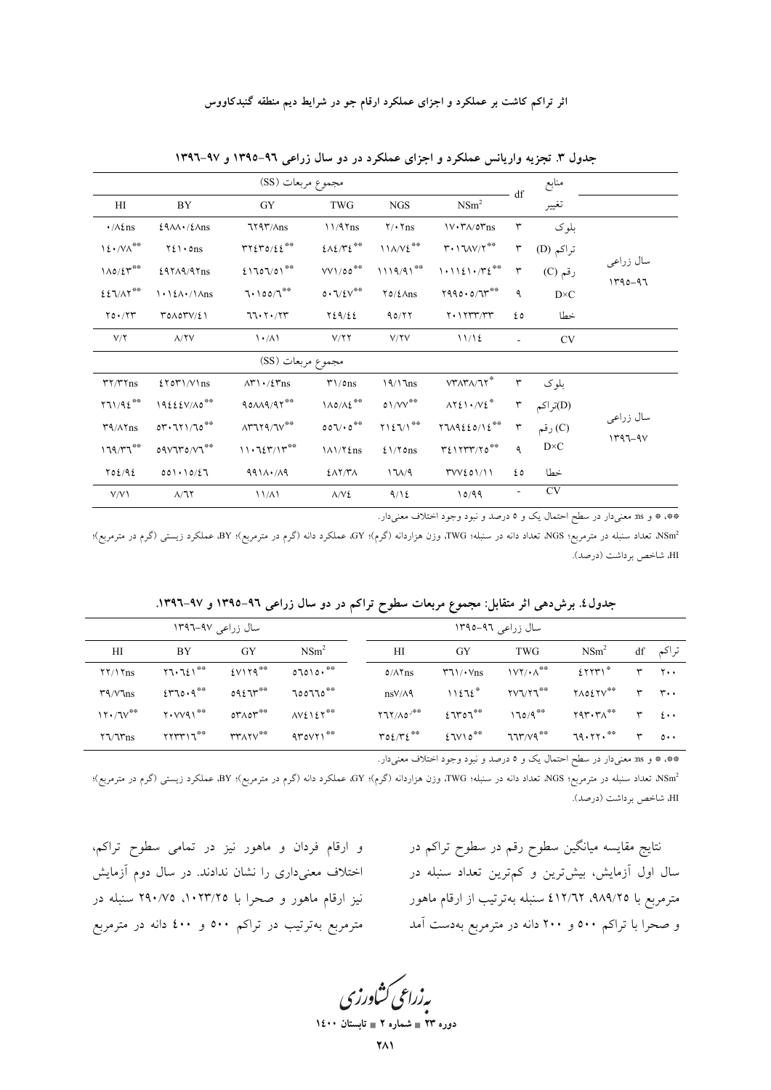|                                                |                                       | df                                                                               | منابع                                          |                                                               |                                                                             |              |              |                          |
|------------------------------------------------|---------------------------------------|----------------------------------------------------------------------------------|------------------------------------------------|---------------------------------------------------------------|-----------------------------------------------------------------------------|--------------|--------------|--------------------------|
| H                                              | BY                                    | GY                                                                               | <b>TWG</b>                                     | <b>NGS</b>                                                    | NSm <sup>2</sup>                                                            |              | تغيير        |                          |
| $\cdot/\lambda \xi$ ns                         | $29\lambda\lambda\cdot/\xi\Lambda$ ns | $7797/\text{Ans}$                                                                | $11/9$ Tns                                     | $\mathbf{Y}/\cdot\mathbf{Y}$ ns                               | $\frac{1}{\sqrt{2}}$                                                        | ٣            | بلوك         |                          |
| 12.7%                                          | $Y\xi\rightarrow$ ons                 | $rr \epsilon r o / \epsilon \epsilon$                                            | $2\lambda2/\Upsilon2$                          | 11A/V                                                         | $\uparrow\cdot$ ) $\uparrow\downarrow\downarrow\vee/\uparrow^{\ast\ast}$    | ٣            | تراكم (D)    |                          |
| $1\Lambda$ 0/ $\mathcal{E}\Upsilon^{\ast\ast}$ | 297A9/97ns                            | 21707/01                                                                         | $VV1/00$ <sup>**</sup>                         | $1119/91***$                                                  | 1.1121.75                                                                   | $\mathsf{r}$ | رقم (C)      | سال زراعي<br>$1490 - 97$ |
| $E\$                                           | $\{\cdot\}_{\lambda\cdot/\Lambda}$ ns | 7.100/T                                                                          | $\circ\cdot\sqrt{\varepsilon\vee}^{\ast\circ}$ | $\sqrt{6}/2\text{Ans}$                                        | $Y990.0/T^{**}$                                                             | ٩            | $D \times C$ |                          |
| $Y_0 \cdot / Y_1$                              | $Y0\Lambda0YV/\Sigma$                 | 77.7.77                                                                          | $Y\S 9/22$                                     | 90/77                                                         | $Y \cdot 1 Y Y Y' Y' Y'$                                                    | ٤٥           | خطا          |                          |
| $V/\Upsilon$                                   | $\Lambda$ /۲V                         | $\langle \cdot / \Lambda \rangle$                                                | V/YY                                           | V/YV                                                          | 11/12                                                                       |              | <b>CV</b>    |                          |
|                                                |                                       |                                                                                  |                                                |                                                               |                                                                             |              |              |                          |
| $\mathbf{r}$                                   | $\S$ Yor $\frac{1}{\sqrt{1}}$         | $\wedge\mathbf{r}\wedge\cdot/\mathbf{\mathcal{E}}\mathbf{r}\mathbf{n}\mathbf{s}$ | $\Upsilon$ \/ $\circ$ ns                       | 19/17ns                                                       | $VT\Lambda T\Lambda/T$                                                      | ٣            | بلوک         |                          |
| 771/9E                                         | 19222V/A0                             | $90\AA$ $97$                                                                     | $\Lambda$ 0/ $\Lambda$ ٤ $*$                   | $01/VV^{\# \#}$                                               | $\lambda Y \xi \setminus \cdot / V \xi^*$                                   | ٣            | (D)تراكم     |                          |
| $\mathsf{r}\mathsf{q}/\mathsf{A}\mathsf{yns}$  | $0Y \cdot 7Y1/T0$                     | $\Lambda$ ۳٦٢٩/٦٧ <sup>**</sup>                                                  | 007/100                                        | $\mathbf{Y} \setminus \mathbf{Y} \setminus \mathbf{Y}^{\ast}$ | $Y\Upsilon\wedge\Upsilon\epsilon\epsilon\circ\wedge\epsilon^{**}$           | $\mathsf{r}$ | (C) رقم      | سال زراعى                |
| 179/T7                                         | $09V$ $V^*$ $0/V$ $V^*$               | 11.721/110                                                                       | $\lambda/\tau$ ins                             | $2\frac{1}{\sqrt{2}}$                                         | $\forall \xi \setminus \text{Y} \text{Y} \text{Y} / \text{Y} \text{o}^{**}$ | ٩            | $D \times C$ | $1497 - 91$              |
| TOE/9E                                         | $001 \cdot 10/\xi$                    | $991 \cdot 109$                                                                  | EAY/Y                                          | 171/9                                                         | TVV201/11                                                                   | ٤٥           | خطا          |                          |
| V/V                                            | $\Lambda/\Im$                         | $11/\Lambda$                                                                     | $\Lambda/V$ ٤                                  | 9/12                                                          | 10/99                                                                       | ۰            | <b>CV</b>    |                          |

جدول ۳. تجزیه واریانس عملکرد و اجزای عملکرد در دو سال زراعی ۹۲-۱۳۹۵ و ۹۷-۱۳۹۲

\*\*، \* و ms. معنىدار در سطح احتمال يک و ٥ درصد و نبود وجود اختلاف معنىدار.

INSm<sup>2</sup>، تعداد سنبله در مترمربع؛ NGS، تعداد دانه در سنبله؛ TWG، وزن هزاردانه (گرم)؛ GY، عملکرد دانه (گرم در مترمربع)؛ BY، عملکرد زیستی (گرم در مترمربع)؛ HI، شاخص برداشت (درصد).

|                                                         |                      | سال زراعی ۹۷–۱۳۹۲                         |                      |                        |                              |                                                                                          |                                                                          |                                            |
|---------------------------------------------------------|----------------------|-------------------------------------------|----------------------|------------------------|------------------------------|------------------------------------------------------------------------------------------|--------------------------------------------------------------------------|--------------------------------------------|
| HI                                                      | BY                   | GY                                        | NSm <sup>2</sup>     | HI                     | GY                           | TWG                                                                                      | NSm <sup>2</sup>                                                         | تراکم df                                   |
| $\Upsilon\Upsilon/\Upsilon$ ns                          | ۲٦٠٦٤١ <sup>**</sup> | $EV1Y9^{***}$                             | $07010 \cdot 100$    | $0/\lambda\text{Y}$ ns | $\Upsilon \Upsilon \Upsilon$ | $1VY/\cdot \Lambda^{\ast \ast}$ $\mathcal{E} \Upsilon \Upsilon \Upsilon \Upsilon^{\ast}$ |                                                                          | $Y \cdot Y$                                |
| $\mathsf{r}\mathsf{q}/\mathsf{v}\mathsf{q}_{\text{ns}}$ | $2570.9***$          | 09275                                     | 700770 <sup>**</sup> | n sV/A9                |                              | $11272^*$ $TV7/T7^{**}$                                                                  | 71027V**                                                                 | $r \rightarrow r \rightarrow$              |
| 11.7V                                                   | $Y \cdot VV91^*$     | $\circ$ r $\wedge \circ$ r $^{\ast \ast}$ | $AVE1EY^{\# \#}$     | <b>Y7Y/A0</b>          | $250^{\circ}$                | 170/9                                                                                    | $\mathsf{r}\mathsf{q}\mathsf{r}\mathsf{p}\mathsf{r}\mathsf{r}\mathsf{v}$ | $\mathbf{r} = \mathbf{s} \cdot \mathbf{r}$ |
| $\frac{77}{\pi s}$                                      | $YYYY'Y^*$           | <b>MAIL</b>                               | 4rovri               | $TOE/TE^{\# \#}$       | $27V10^{***}$                | 777''/9                                                                                  | 79.77.                                                                   | $\circ \cdot \cdot$                        |

جدول٤. برشدهی اثر متقابل: مجموع مربعات سطوح تراکم در دو سال زراعی ٩٦-١٣٩٥ و ٩٧-١٣٩٦.

\*\*، \* و ms. معنىدار در سطح احتمال يک و ٥ درصد و نبود وجود اختلاف معنىدار.

<sup>.</sup>MSm تعداد سنبله در مترمربع؛ NGS، تعداد دانه در سنبله؛ TWG، وزن هزاردانه (گرم)؛ GY، عملکرد دانه (گرم در مترمربع)؛ BY، عملکرد زیستی (گرم در مترمربع)؛ HI، شاخص برداشت (درصد).

و ارقام فردان و ماهور نیز در تمامی سطوح تراکم، اختلاف معنیداری را نشان ندادند. در سال دوم آزمایش نیز ارقام ماهور و صحرا با ۱۰۲۳/۲۵، ۲۹۰/۷۵ سنبله در مترمربع بهترتیب در تراکم ۵۰۰ و ٤٠٠ دانه در مترمربع

نتایج مقایسه میانگین سطوح رقم در سطوح تراکم در سال اول آزمایش، بیشترین و کمترین تعداد سنبله در مترمربع با ٩٨٩/٢٥، ٤١٢/٦٢ سنبله بهترتيب از ارقام ماهور و صحراً با تراکم ٥٠٠ و ٢٠٠ دانه در مترمربع بهدست آمد

ېه زراعی کشاورزی

دوره ۲۳ ∎ شماره ۲ ∎ تاب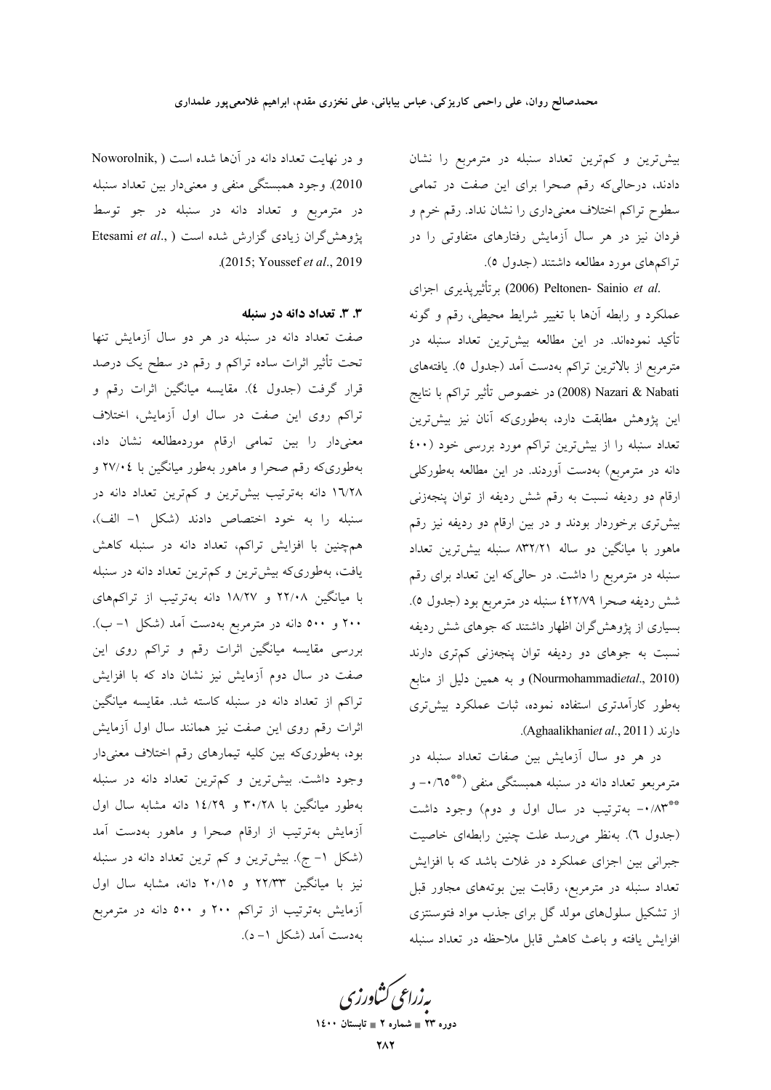بیشتررین و کم ترین تعداد سنبله در مترمربع را نشان دادند، درحالیکه رقم صحرا برای این صفت در تمامی سطوح تراکم اختلاف معنیداری را نشان نداد. رقم خرم و فردان نیز در هر سال آزمایش رفتارهای متفاوتی را در تراكمهاي مورد مطالعه داشتند (جدول ٥).

.2006) Peltonen- Sainio et al برتأثيريذيري اجزاي عملکرد و رابطه آنها با تغییر شرایط محیطی، رقم و گونه تأكيد نمودهاند. در اين مطالعه بيشترين تعداد سنبله در مترمربع از بالاترين تراكم بهدست آمد (جدول ٥). يافتههاى Nazari & Nabati (2008) در خصوص تأثير تراكم با نتايج این پژوهش مطابقت دارد، بهطوریکه آنان نیز بیشترین تعداد سنبله را از بیشترین تراکم مورد بررسی خود (٤٠٠ دانه در مترمربع) بهدست آوردند. در این مطالعه بهطورکلبی ارقام دو ردیفه نسبت به رقم شش ردیفه از توان پنجهزنی بیش تری برخوردار بودند و در بین ارقام دو ردیفه نیز رقم ماهور با میانگین دو ساله ۸۳۲/۲۱ سنبله بیشترین تعداد سنبله در مترمربع را داشت. در حالیکه این تعداد برای رقم شش رديفه صحرا ٤٢٢/٧٩ سنبله در مترمربع بود (جدول ٥). بسیاری از پژوهش گران اظهار داشتند که جوهای شش ردیفه نسبت به جوهای دو ردیفه توان پنجهزنی کمتری دارند (Nourmohammadietal., 2010) وبه همين دليل از منابع بهطور كارآمدترى استفاده نموده، ثبات عملكرد بيش ترى دارند (Aghaalikhaniet al., 2011).

در هر دو سال آزمایش بین صفات تعداد سنبله در مترمربعو تعداد دانه در سنبله همبستگی منفی (\*\*10\*۰- و (جدول ٦). بهنظر می رسد علت چنین رابطهای خاصیت جبرانی بین اجزای عملکرد در غلات باشد که با افزایش تعداد سنبله در مترمربع، رقابت بین بوتههای مجاور قبل از تشکیل سلولهای مولد گل برای جذب مواد فتوسنتزی افزايش يافته و باعث كاهش قابل ملاحظه در تعداد سنبله

و در نهایت تعداد دانه در آنها شده است ( Noworolnik, 2010). وجود همبستگي منفي و معنيدار بين تعداد سنبله در مترمربع و تعداد دانه در سنبله در جو توسط Etesami et al., ) نیژوهش گران زیادی گزارش شده است .(2015; Youssef et al., 2019

#### ۳.۳. تعداد دانه در سنبله

صفت تعداد دانه در سنبله در هر دو سال آزمایش تنها تحت تأثیر اثرات ساده تراکم و رقم در سطح یک درصد قرار گرفت (جدول ٤). مقايسه ميانگين اثرات رقم و تراکم روی این صفت در سال اول آزمایش، اختلاف معنیدار را بین تمامی ارقام موردمطالعه نشان داد، بهطوریکه رقم صحرا و ماهور بهطور میانگین با ۲۷/۰٤ و ۱٦/٢٨ دانه بهترتيب بيشترين و كمترين تعداد دانه در سنبله را به خود اختصاص دادند (شکل ۱- الف)، همچنین با افزایش تراکم، تعداد دانه در سنبله کاهش یافت، بهطوریکه بیشترین و کم ترین تعداد دانه در سنبله با میانگین ۲۲/۰۸ و ۱۸/۲۷ دانه بهترتیب از تراکمهای ۲۰۰ و ۵۰۰ دانه در مترمربع بهدست آمد (شکل ۱– ب). بررسی مقایسه میانگین اثرات رقم و تراکم روی این صفت در سال دوم آزمایش نیز نشان داد که با افزایش تراکم از تعداد دانه در سنبله کاسته شد. مقایسه میانگین اثرات رقم روی این صفت نیز همانند سال اول آزمایش بود، بهطوریکه بین کلیه تیمارهای رقم اختلاف معنیدار وجود داشت. بیشترین و کم ترین تعداد دانه در سنبله بهطور میانگین با ۳۰/۲۸ و ۱٤/۲۹ دانه مشابه سال اول آزمایش بهترتیب از ارقام صحرا و ماهور بهدست آمد (شکل ۱– ج). بیش ترین و کم ترین تعداد دانه در سنبله نیز با میانگین ۲۲/۳۳ و ۲۰/۱۵ دانه، مشابه سال اول آزمایش بهترتیب از تراکم ۲۰۰ و ۵۰۰ دانه در مترمربع بهدست آمد (شکل ۱– د).

بەزراعى ڭشاورز

دوره ۲۳ = شماره ۲ = تابستان ۱٤۰۰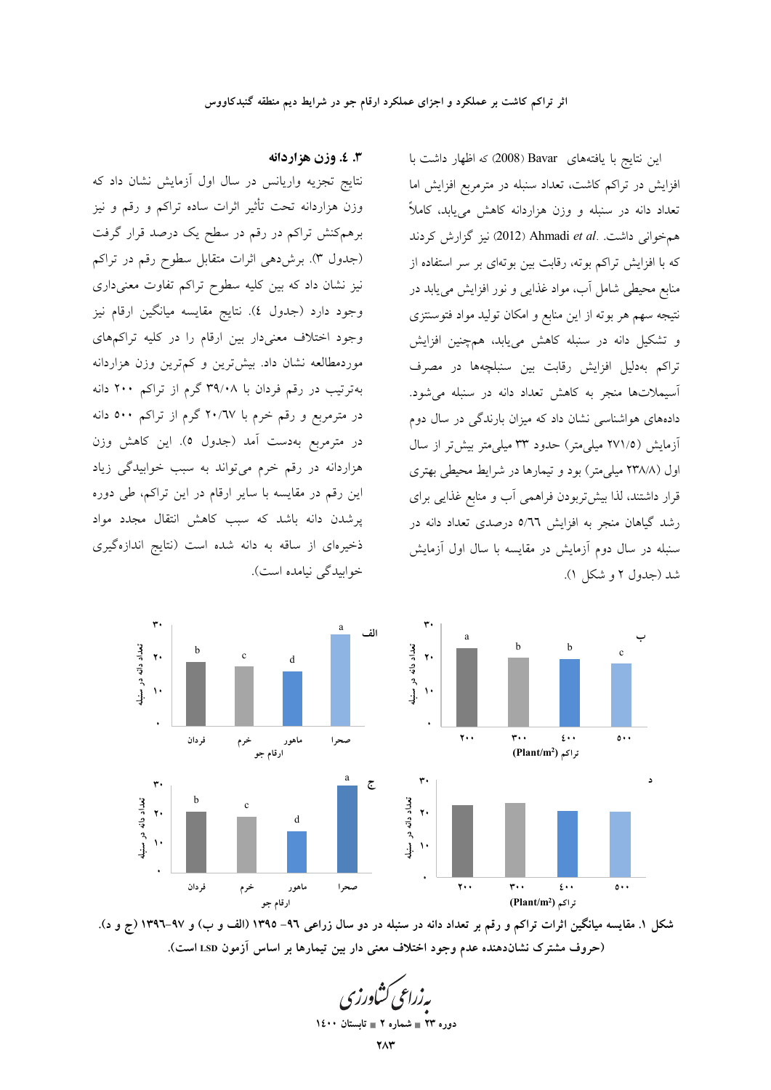٣. ٤. وزن هزاردانه

نتایج تجزیه واریانس در سال اول آزمایش نشان داد که وزن هزاردانه تحت تأثیر اثرات ساده تراکم و رقم و نیز برهمکنش تراکم در رقم در سطح یک درصد قرار گرفت (جدول ٣). برشدهی اثرات متقابل سطوح رقم در تراکم نیز نشان داد که بین کلیه سطوح تراکم تفاوت معنیداری وجود دارد (جدول ٤). نتايج مقايسه ميانگين ارقام نيز وجود اختلاف معنىدار بين ارقام را در كليه تراكمهاى موردمطالعه نشان داد. بیشترین و کمترین وزن هزاردانه بهترتیب در رقم فردان با ۳۹/۰۸ گرم از تراکم ۲۰۰ دانه در مترمربع و رقم خرم با ۲۰/٦۷ گرم از تراکم ۵۰۰ دانه در مترمربع بهدست آمد (جدول ٥). این کاهش وزن هزاردانه در رقم خرم میتواند به سبب خوابیدگی زیاد این رقم در مقایسه با سایر ارقام در این تراکم، طی دوره پرشدن دانه باشد که سبب کاهش انتقال مجدد مواد ذخیرهای از ساقه به دانه شده است (نتایج اندازهگیری خوابيدگي نيامده است).

این نتایج با یافتههای Bavar (2008) که اظهار داشت با افزایش در تراکم کاشت، تعداد سنبله در مترمربع افزایش اما تعداد دانه در سنبله و وزن هزاردانه کاهش مییابد، کاملاً همخوانی داشت. .Ahmadi et al (2012) نیز گزارش کردند که با افزایش تراکم بوته، رقابت بین بوتهای بر سر استفاده از منابع محیطی شامل آب، مواد غذایی و نور افزایش می یابد در نتیجه سهم هر بوته از این منابع و امکان تولید مواد فتوسنتزی و تشکیل دانه در سنبله کاهش مییابد، همچنین افزایش تراکم بەدلیل افزایش رقابت بین سنبلچەها در مصرف آسیملاتها منجر به کاهش تعداد دانه در سنبله می شود. دادههای هواشناسی نشان داد که میزان بارندگی در سال دوم آزمایش (٢٧١/٥ میلی متر) حدود ٣٣ میلی متر بیش تر از سال اول (۲۳۸/۸ میلی متر) بود و تیمارها در شرایط محیطی بهتری قرار داشتند، لذا بیش تربودن فراهمی آب و منابع غذایی برای رشد گیاهان منجر به افزایش ٥/٦٦ درصدی تعداد دانه در .<br>سنبله در سال دوم آزمایش در مقایسه با سال اول آزمایش شد (جدول ۲ و شکل ۱).



شکل ۱. مقایسه میانگین اثرات تراکم و رقم بر تعداد دانه در سنبله در دو سال زراعی ۹۲– ۱۳۹۵ (الف و ب) و ۹۷–۱۳۹۲ (ج و د). (حروف مشترک نشاندهنده عدم وجود اختلاف معنی دار بین تیمارها بر اساس آزمون LSD است).

دوره ۲۳ = شماره ۲ = تابستان ۱٤٠٠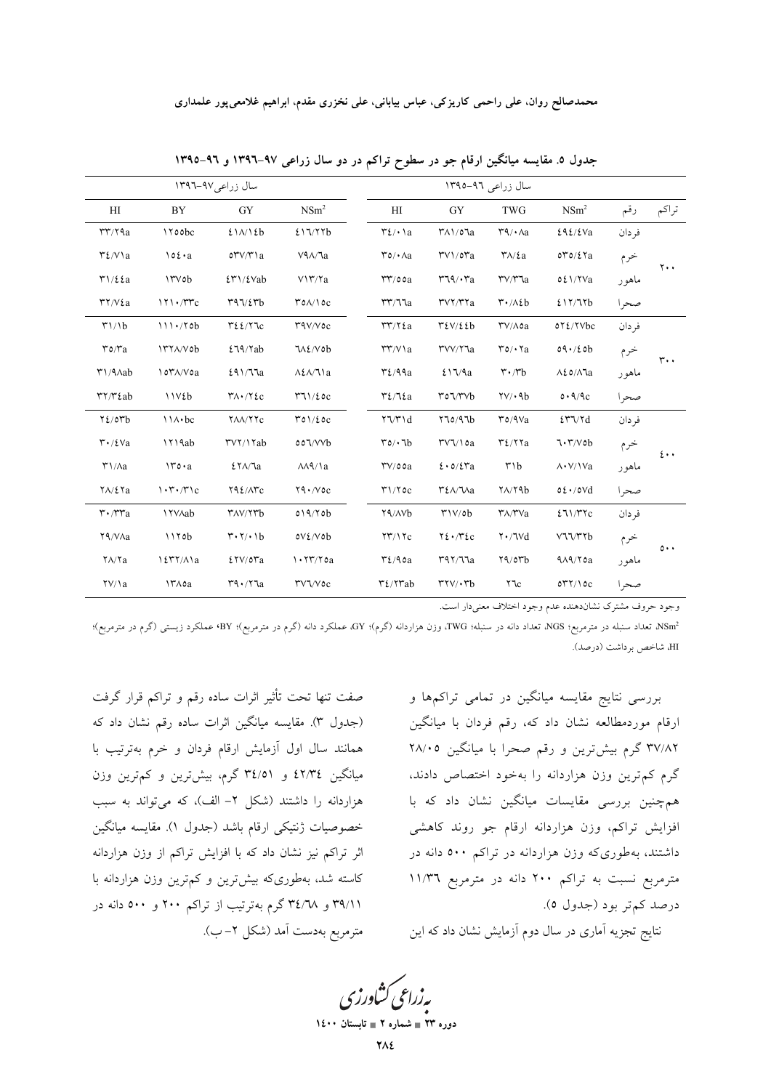|                                                                                                                                                                                                                                                                                                                                                            |                         | سال زراعی٩٧-١٣٩٦                                               |                                       |                                                                      |                                                                |                                                  |                                 |        |                        |  |
|------------------------------------------------------------------------------------------------------------------------------------------------------------------------------------------------------------------------------------------------------------------------------------------------------------------------------------------------------------|-------------------------|----------------------------------------------------------------|---------------------------------------|----------------------------------------------------------------------|----------------------------------------------------------------|--------------------------------------------------|---------------------------------|--------|------------------------|--|
| HI                                                                                                                                                                                                                                                                                                                                                         | BY                      | GY                                                             | NSm <sup>2</sup>                      | H                                                                    | GY                                                             | <b>TWG</b>                                       | NSm <sup>2</sup>                | رقم    | تراكم                  |  |
| rr/79a                                                                                                                                                                                                                                                                                                                                                     | 1 Y o obc               | 21A/12b                                                        | 217/77b                               | $\mathbf{r}$ <sub><math>\mathbf{i}</math></sub> $\cdot$ $\mathbf{a}$ | $\Upsilon \wedge \Upsilon$                                     | $\mathsf{r}\mathsf{q}/\cdot\mathsf{A}\mathsf{a}$ | 292/2Va                         | فر دان |                        |  |
| $\mathcal{Y}\mathcal{L}/V$ a                                                                                                                                                                                                                                                                                                                               | $\lambda$               | $o\mathsf{r}'\mathsf{v}/\mathsf{r}'$ la                        | $Vq$ $\Lambda$ / $\lambda$ a          | $\mathbf{r}\circ\cdot\mathbf{A}$ a                                   | $\mathsf{rv}\cap\mathsf{or}_a$                                 | $\Upsilon \wedge / \epsilon$ a                   | 040/fa                          | خرم    | $Y \cdot \cdot$        |  |
| $\Upsilon$ 1/22a                                                                                                                                                                                                                                                                                                                                           | $\Upsilon$              | $\S$ <sup>*</sup> $\frac{1}{2}$                                | $V\Upsilon/T$ a                       | rr/00a                                                               | $r\eta$ . $r_a$                                                | $\mathsf{r}\mathsf{v}/\mathsf{r}$ la             | $0\xi$ $\frac{1}{\gamma\alpha}$ | ماهور  |                        |  |
| $\mathsf{r}\mathsf{r}/\mathsf{v}\mathsf{z}$ a                                                                                                                                                                                                                                                                                                              | $171 \cdot \text{/rrc}$ | $\mathsf{r}\mathsf{a}\mathsf{v}\mathsf{r}\mathsf{r}\mathsf{b}$ | TON/10C                               | rr/77a                                                               | $r$ $\gamma$ $r$ $r$ $a$                                       | $\mathbf{r} \cdot \mathbf{A}$                    | 217/77b                         | صحرا   |                        |  |
| $\frac{\mu}{\lambda}}$                                                                                                                                                                                                                                                                                                                                     | $111 \cdot 70b$         | $\mathbf{Y} \xi \xi / \mathbf{Y} \mathbf{I} \mathbf{c}$        | $Y4V/V$ oc                            | rr/72a                                                               | $Y \frac{\xi V}{\xi b}$                                        | TV/A0a                                           | 072/7Vbc                        | فردان  |                        |  |
| $r \circ r$ a                                                                                                                                                                                                                                                                                                                                              | ITTA/VOb                | 279/7ab                                                        | $7\lambda\ell/V$ ob                   | $\mathsf{r}\mathsf{r}/\mathsf{v}\mathsf{a}$                          | ۳۷۷/۲٦a                                                        | $\mathbf{r}\circ\cdot\mathbf{r}\circ\mathbf{r}$  | 09.720b                         | خرم    | $\mathsf{r}\cdot\cdot$ |  |
| $\uparrow$ \/ $\uparrow$ \/ $\uparrow$ \/ $\uparrow$ \/ $\uparrow$ \/ $\uparrow$ \/ $\uparrow$ \/ $\uparrow$ \/ $\uparrow$ \/ $\uparrow$ \/ $\uparrow$ \/ $\uparrow$ \/ $\uparrow$ \/ $\uparrow$ \/ $\uparrow$ \/ $\uparrow$ \/ $\uparrow$ \/ $\uparrow$ \/ $\uparrow$ \/ $\uparrow$ \/ $\uparrow$ \/ $\uparrow$ \/ $\uparrow$ \/ $\uparrow$ \/ $\uparrow$ | I or A/Voa              | 291/77a                                                        | $\lambda \frac{\xi \lambda}{\lambda}$ | $\mathcal{L}/\mathcal{A}$ a                                          | 217/9a                                                         | $\mathbf{r} \cdot \mathbf{r}$                    | $\lambda \xi$ 0/ $\lambda$ la   | ماهور  |                        |  |
| $\mathbf{r} \mathbf{y} / \mathbf{r}$ $\mathbf{z}$ ab                                                                                                                                                                                                                                                                                                       | 11V                     | $Y\Lambda$ $\cdot$ / $Y\epsilon$ $c$                           | T71/20c                               | $\mathcal{L}/\mathcal{L}a$                                           | $\mathsf{r}\circ\mathsf{v}\mathsf{r}\vee\mathsf{b}$            | $\frac{Y}{4}$                                    | 0.9/9c                          | صحرا   |                        |  |
| $Y\xi$ /0 $Yb$                                                                                                                                                                                                                                                                                                                                             | $11A \cdot bc$          | YAA/YYC                                                        | $T01/\epsilon$ Oc                     | $\Upsilon \Upsilon / \Upsilon$                                       | Y70/97b                                                        | $\mathsf{r} \circ \mathsf{A} \vee \mathsf{a}$    | 247/7d                          | فردان  |                        |  |
| $\mathbf{r} \cdot / \mathbf{\Omega}$                                                                                                                                                                                                                                                                                                                       | 1719ab                  | $\Upsilon V \Upsilon / \Upsilon ab$                            | 00J/VVb                               | $r_0$ . $rb$                                                         | $\Upsilon \vee \Upsilon / \Upsilon a$                          | $\mathbf{r}$ $\mathbf{r}$ $\mathbf{r}$           | 7.7/8                           | خرم    | 5.1.                   |  |
| $\mathsf{r}\setminus\mathsf{a}$                                                                                                                                                                                                                                                                                                                            | 100a                    | $27\lambda/Ta$                                                 | $\lambda\lambda\gamma/a$              | $\mathsf{rv}/\mathsf{ooa}$                                           | 2.0/27a                                                        | r                                                | $\Lambda \cdot V/\Lambda$ Va    | ماهور  |                        |  |
| $\sqrt{\lambda}/2$ $\sqrt{a}$                                                                                                                                                                                                                                                                                                                              | 1.7.7                   | Y92/ATC                                                        | Y4.70c                                | $\mathbf{r}/\mathbf{r}$ oc                                           | $\mathsf{r}\mathfrak{z}\wedge\mathsf{r}\wedge\mathsf{a}$       | $Y\Lambda/Y9b$                                   | $0\xi \cdot / 0Vd$              | صحرا   |                        |  |
| $\mathsf{r}\cdot\mathsf{/rr}_a$                                                                                                                                                                                                                                                                                                                            | <b>ITVAab</b>           | $\Upsilon\Lambda V/\Upsilon\Upsilon b$                         | 019/70b                               | Y9/N                                                                 | $\Upsilon$ \V/0b                                               | $\mathsf{r}\wedge\mathsf{r}\vee\mathsf{a}$       | 271/T                           | فردان  |                        |  |
| YA/VAa                                                                                                                                                                                                                                                                                                                                                     | 1170b                   | $\mathbf{r} \cdot \mathbf{r}/\cdot \mathbf{b}$                 | $oV\ell/Vob$                          | $\Upsilon\Upsilon/\Upsilon$                                          | $Y\Sigma \cdot /Y\Sigma C$                                     | $\mathsf{Y} \cdot \mathsf{TV}$ d                 | V77/Tb                          | خرم    | $0 \cdot \cdot$        |  |
| $\frac{1}{2}$                                                                                                                                                                                                                                                                                                                                              | $\frac{12\pi}{7}$       | $E$ YV/0 $ra$                                                  | $\cdots$                              | $\mathcal{L}/\mathcal{A}$ oa                                         | $\mathsf{r}\mathsf{q}\mathsf{r}/\mathsf{q}\mathsf{r}_a$        | Y9/0                                             | 9A9/80a                         | ماهور  |                        |  |
| $\frac{YV}{a}$                                                                                                                                                                                                                                                                                                                                             | <b>ITAOa</b>            | $\mathsf{r}\mathsf{q}\cdot\mathsf{y}\mathsf{r}\mathsf{a}$      | <b>TVV/Voc</b>                        | $\mathcal{Y}\mathcal{L}/\mathcal{Y}\mathcal{V}$ ab                   | $\mathsf{r}\mathsf{r}\mathsf{v}\mathsf{v}\mathsf{r}\mathsf{b}$ | $Y$ $C$                                          | OYY/10C                         | صح ا   |                        |  |

جدول ٥. مقایسه میانگین ارقام جو در سطوح تراکم در دو سال زراعی ۹۷–۱۳۹۲ و ۹۲–۱۳۹۵

وجود حروف مشترك نشاندهنده عدم وجود اختلاف معنىدار است.

INSm<sup>2</sup> تعداد سنبله در مترمربع؛ NGS، تعداد دانه در سنبله؛ TWG، وزن هزاردانه (گرم)؛ GY، عملکرد دانه (گرم در مترمربع)؛ BY، عملکرد زیستی (گرم در مترمربع)؛ HI، شاخص برداشت (درصد).

صفت تنها تحت تأثير اثرات ساده رقم و تراكم قرار گرفت

(جدول ٣). مقايسه ميانگين اثرات ساده رقم نشان داد كه

همانند سال اول آزمایش ارقام فردان و خرم بهترتیب با

میانگین ٤٢/٣٤ و ٣٤/٥١ گرم، بیشترین و کم ترین وزن

هزاردانه را داشتند (شکل ۲- الف)، که می تواند به سبب

خصوصيات ژنتيكي ارقام باشد (جدول ١). مقايسه ميانگين

اثر تراکم نیز نشان داد که با افزایش تراکم از وزن هزاردانه

کاسته شد، بهطوریکه بیشترین و کمترین وزن هزاردانه با

۳۹/۱۱ و ۳٤/٦٨ گرم بهترتیب از تراکم ۲۰۰ و ۵۰۰ دانه در

مترمربع بەدست آمد (شکل ۲–ب).

بررسی نتایج مقایسه میانگین در تمامی تراکمها و ارقام موردمطالعه نشان داد که، رقم فردان با میانگین ۳۷/۸۲ گرم بیشترین و رقم صحرا با میانگین ۲۸/۰۵ گرم کم ترین وزن هزاردانه را بهخود اختصاص دادند، همچنین بررسی مقایسات میانگین نشان داد که با افزایش تراکم، وزن هزاردانه ارقام جو روند کاهشی داشتند، بهطوریکه وزن هزاردانه در تراکم ۵۰۰ دانه در مترمربع نسبت به تراکم ۲۰۰ دانه در مترمربع ۱۱/۳٦ درصد کم تر بود (جدول ٥).

نتایج تجزیه آماری در سال دوم آزمایش نشان داد که این

یه زراعی کشاورزی

دورہ ۲۳ ∎ شمارہ ۲ ∎ تابہ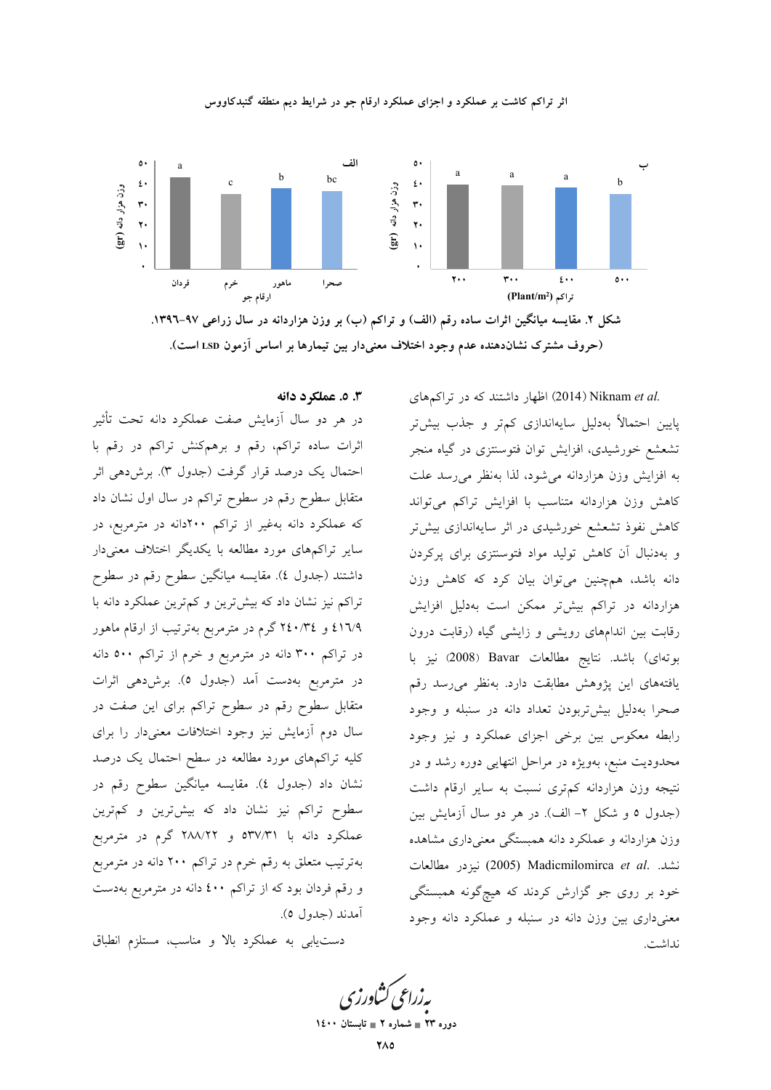

اثر تراکم کاشت بر عملکرد و اجزای عملکرد ارقام جو در شرایط دیم منطقه گنبدکاووس

شکل ۲. مقایسه میانگین اثرات ساده رقم (الف) و تراکم (ب) بر وزن هزاردانه در سال زراعی ۹۷–۱۳۹٦. (حروف مشترک نشان دهنده عدم وجود اختلاف معنی دار بین تیمارها بر اساس آزمون LSD است).

### 3. ٥. عملكرد دانه

در هر دو سال آزمایش صفت عملکرد دانه تحت تأثیر اثرات ساده تراکم، رقم و برهمکنش تراکم در رقم با احتمال یک درصد قرار گرفت (جدول ۳). برشدهی اثر متقابل سطوح رقم در سطوح تراکم در سال اول نشان داد که عملکرد دانه بهغیر از تراکم ۲۰۰دانه در مترمربع، در سایر تراکمهای مورد مطالعه با یکدیگر اختلاف معنی<mark>دار</mark> داشتند (جدول ٤). مقايسه ميانگين سطوح رقم در سطوح تراکم نیز نشان داد که بیشترین و کمترین عملکرد دانه با ٤١٦/٩ و ٢٤٠/٣٤ گرم در مترمربع بهترتيب از ارقام ماهور در تراکم ۳۰۰ دانه در مترمربع و خرم از تراکم ۵۰۰ دانه در مترمربع بهدست آمد (جدول ٥). برشدهی اثرات متقابل سطوح رقم در سطوح تراکم برای این صفت در سال دوم آزمایش نیز وجود اختلافات معنیدار را برای کلیه تراکمهای مورد مطالعه در سطح احتمال یک درصد نشان داد (جدول ٤). مقايسه ميانگين سطوح رقم در سطوح تراکم نیز نشان داد که بیشترین و کمترین عملکرد دانه با ۵۳۷/۳۱ و ۲۸۸/۲۲ گرم در مترمربع بهترتیب متعلق به رقم خرم در تراکم ۲۰۰ دانه در مترمربع و رقم فردان بود که از تراکم ٤٠٠ دانه در مترمربع بهدست آمدند (جدول ٥).

دست یابی به عملکرد بالا و مناسب، مستلزم انطباق

.2014) Niknam et al (2014) اظهار داشتند که در تراکمهای پایین احتمالاً بهدلیل سایهاندازی کمتر و جذب بیش تر تشعشع خورشیدی، افزایش توان فتوسنتزی در گیاه منجر به افزایش وزن هزاردانه میشود، لذا بهنظر می رسد علت کاهش وزن هزاردانه متناسب با افزایش تراکم میتواند کاهش نفوذ تشعشع خورشیدی در اثر سایهاندازی بیش تر و بهدنبال آن کاهش تولید مواد فتوسنتزی برای پرکردن دانه باشد، همچنین میتوان بیان کرد که کاهش وزن هزاردانه در تراکم بیشتر ممکن است بهدلیل افزایش رقابت بین اندامهای رویشی و زایشی گیاه (رقابت درون بوتهاي) باشد. نتايج مطالعات Bavar (2008) نيز با یافتههای این پژوهش مطابقت دارد. بهنظر می رسد رقم صحرا بهدلیل بیشتربودن تعداد دانه در سنبله و وجود رابطه معکوس بین برخی اجزای عملکرد و نیز وجود محدودیت منبع، بهویژه در مراحل انتهایی دوره رشد و در نتیجه وزن هزاردانه کمتری نسبت به سایر ارقام داشت (جدول ٥ و شكل ٢- الف). در هر دو سال آزمايش بين وزن هزاردانه و عملکرد دانه همبستگی معنیداری مشاهده نشد. .Madicmilomirca et al نيزدر مطالعات خود بر روی جو گزارش کردند که هیچگونه همبستگی معنیداری بین وزن دانه در سنبله و عملکرد دانه وجود نداشت.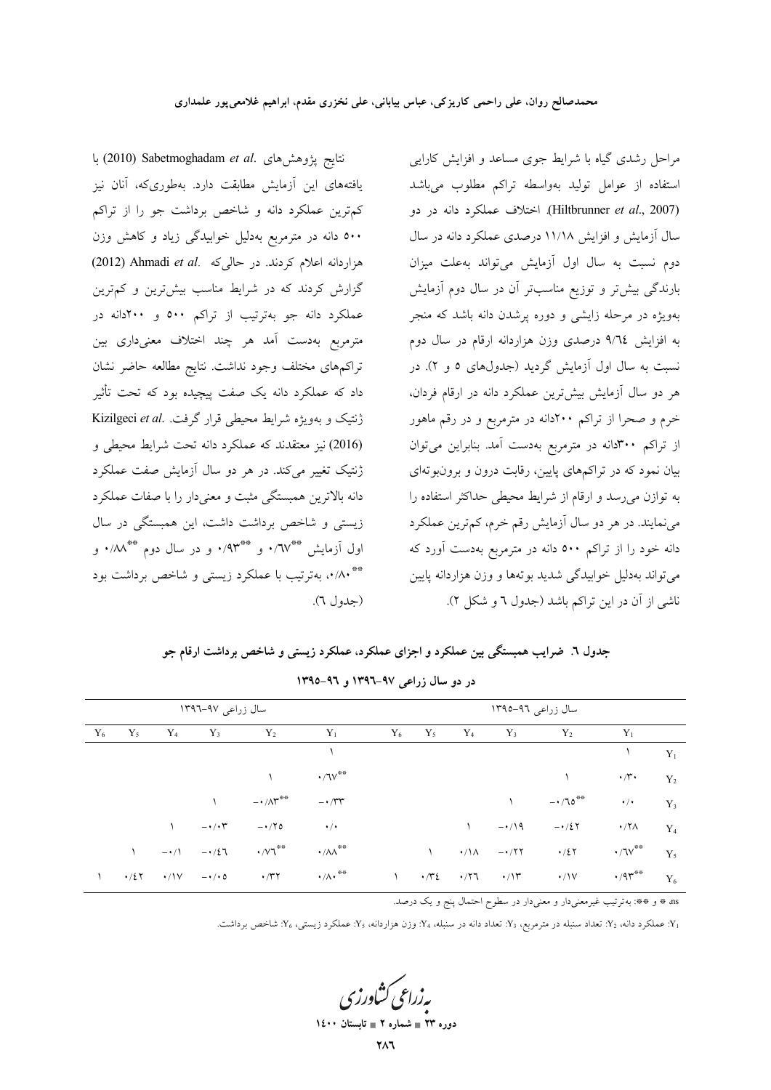نتايج پژوهشهای .Sabetmoghadam et al (2010) با یافتههای این آزمایش مطابقت دارد. بهطوریکه، آنان نیز کمترین عملکرد دانه و شاخص برداشت جو را از تراکم ٥٠٠ دانه در مترمربع بهدليل خوابيدگي زياد و كاهش وزن هزاردانه اعلام کردند. در حالی که .Ahmadi et al. گزارش کردند که در شرایط مناسب بیشترین و کمترین عملکرد دانه جو بهترتیب از تراکم ۵۰۰ و ۲۰۰دانه در مترمربع بهدست آمد هر چند اختلاف معنىدارى بين تراكمهاى مختلف وجود نداشت. نتايج مطالعه حاضر نشان داد که عملکرد دانه یک صفت پیچیده بود که تحت تأثیر ژنتیک و بهویژه شرایط محیطی قرار گرفت. Kizilgeci et al. (2016) نیز معتقدند که عملکرد دانه تحت شرایط محیطی و ژنتیک تغییر میکند. در هر دو سال آزمایش صفت عملکرد دانه بالاترین همبستگی مثبت و معنیدار را با صفات عملکرد زیستی و شاخص برداشت داشت، این همبستگی در سال اول آزمایش \*\*\*\\r و \*\*\*\\r و در سال دوم \*\*\\/ و \*\* ۰/۸۰، بهترتیب با عملکرد زیستی و شاخص برداشت بود (جدول ٦).

مراحل رشدی گیاه با شرایط جوی مساعد و افزایش کارایی استفاده از عوامل توليد بهواسطه تراكم مطلوب مى باشد (Hiltbrunner et al., 2007). اختلاف عملکرد دانه در دو سال آزمایش و افزایش ۱۱/۱۸ درصدی عملکرد دانه در سال دوم نسبت به سال اول آزمایش می تواند به علت میزان بارندگی بیش تر و توزیع مناسب تر آن در سال دوم آزمایش بهویژه در مرحله زایشی و دوره پرشدن دانه باشد که منجر به افزایش ۹/٦٤ درصدی وزن هزاردانه ارقام در سال دوم نسبت به سال اول آزمایش گردید (جدولهای ٥ و ٢). در هر دو سال آزمایش بیش ترین عملکرد دانه در ارقام فردان، خرم و صحرا از تراکم ۲۰۰دانه در مترمربع و در رقم ماهور از تراکم ۳۰۰دانه در مترمربع بهدست آمد. بنابراین می توان بیان نمود که در تراکمهای پایین، رقابت درون و برونبوتهای به توازن می رسد و ارقام از شرایط محیطی حداکثر استفاده را می نمایند. در هر دو سال آزمایش رقم خرم، کم ترین عملکرد دانه خود را از تراکم ۵۰۰ دانه در مترمربع بهدست آورد که مي تواند بهدليل خوابيدگي شديد بوتهها و وزن هزاردانه پايين ناشی از آن در این تراکم باشد (جدول ٦ و شکل ٢).

|             | سال زراعی ۹۷–۱۳۹۳  |               |                                                                    |                                           |                                                               |               |                             | سال زراعی ۹٦–۱۳۹۵ |                         |                      |                              |       |  |  |  |
|-------------|--------------------|---------------|--------------------------------------------------------------------|-------------------------------------------|---------------------------------------------------------------|---------------|-----------------------------|-------------------|-------------------------|----------------------|------------------------------|-------|--|--|--|
| ${\rm Y_6}$ | $Y_5$              | $Y_4$         | $Y_3$                                                              | $Y_2$                                     | $Y_1$                                                         | ${\rm Y_6}$   | $Y_5$                       | $Y_4$             | $Y_3$                   | $Y_2$                | $Y_1$                        |       |  |  |  |
|             |                    |               |                                                                    |                                           |                                                               |               |                             |                   |                         |                      |                              | $Y_1$ |  |  |  |
|             |                    |               |                                                                    |                                           | $\cdot$ / $\mathsf{TV}^{\ast\ast}$                            |               |                             |                   |                         |                      | $\cdot/\tau \cdot$           | $Y_2$ |  |  |  |
|             |                    |               |                                                                    | $ \cdot$ / $\wedge$ $\uparrow^{\ast\ast}$ | $- \cdot / \tau \tau$                                         |               |                             |                   | $\mathcal{L}$           | $-1.70$              | $\cdot/$                     | $Y_3$ |  |  |  |
|             |                    | $\mathcal{N}$ | $-\cdot/\cdot \tau$                                                | $-170$                                    | $\cdot/$                                                      |               |                             | $\mathcal{N}$     | $-1/19$                 | $-1/27$              | $\cdot$ /۲۸                  | $Y_4$ |  |  |  |
|             | $\mathcal{L}$      | $-\cdot/1$    | $-1/2$                                                             | $\cdot$ / $\vee$ $\mathbf{1}^{\ast\ast}$  | $\boldsymbol{\cdot}$ /<br>AA $^{\text{\tiny\textregistered}}$ |               | $\sqrt{2}$                  | $\cdot/\lambda$   | $-177$                  | $\cdot/2$ $\Upsilon$ | $\cdot$ /٦٧ $^{\ast\ast}$    | $Y_5$ |  |  |  |
|             | $\cdot$ /2 $\cdot$ |               | $\cdot / V = -\cdot / \cdot 0$ $\cdot / \mathfrak{r} \mathfrak{r}$ |                                           | $\cdot/\Lambda\cdot$ **                                       | $\mathcal{N}$ | $\cdot$ / $\cdot$ / $\cdot$ |                   | $\cdot$ /۲٦ $\cdot$ /۱۳ | $\cdot/\gamma$       | $\cdot$ /9 $\mathsf{r}^{**}$ | $Y_6$ |  |  |  |

جدول ٦. ضرایب همبستگی بین عملکرد و اجزای عملکرد، عملکرد زیستی و شاخص برداشت ارقام جو

 $1490 - 97$  ورده سال زراعی ۹۷–۱۳۹۲ و ۹۳–۱۳۹۵

as # و \*\*: بهترتیب غیرمعنیدار و معنیدار در سطوح احتمال پنج و یک درصد.

Y: عملكرد دانه، Y: تعداد سنبله در مترمربع، Y: تعداد دانه در سنبله، Y: وزن هزاردانه، Y: عملكرد زيستي، Y: شاخص برداشت.

بەزراعى كشاورز

دوره ۲۳ ∎ شماره ۲ ∎ تابہ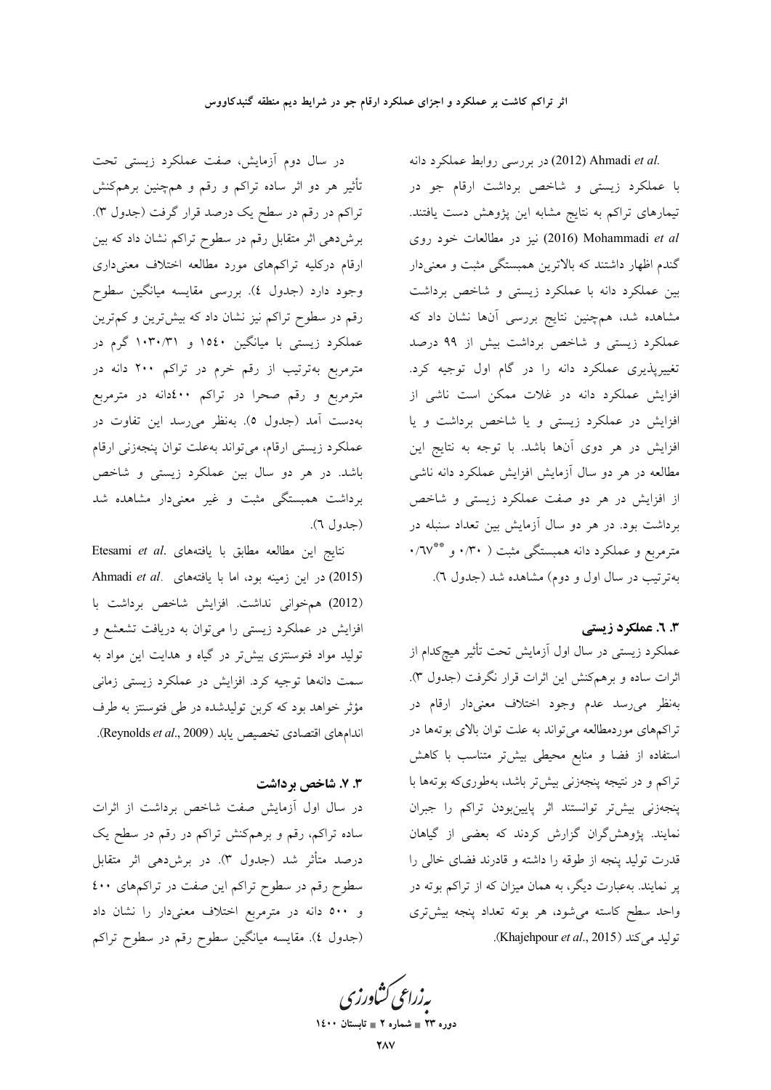در سال دوم آزمایش، صفت عملکرد زیستی تحت .<br>تأثیر هر دو اثر ساده تراکم و رقم و همچنین برهمکنش تراکم در رقم در سطح یک درصد قرار گرفت (جدول ۳). برشدهی اثر متقابل رقم در سطوح تراکم نشان داد که بین ارقام درکلیه تراکمهای مورد مطالعه اختلاف معنیداری وجود دارد (جدول ٤). بررسي مقايسه ميانگين سطوح رقم در سطوح تراکم نیز نشان داد که بیشترین و کم ترین عملکرد زیستی با میانگین ۱۵٤۰ و ۱۰۳۰/۳۱ گرم در مترمربع بهترتیب از رقم خرم در تراکم ۲۰۰ دانه در مترمربع و رقم صحرا در تراکم ٤٠٠دانه در مترمربع بهدست آمد (جدول ٥). بهنظر مي رسد اين تفاوت در عملکرد زیستی ارقام، می تواند بهعلت توان پنجهزنی ارقام باشد. در هر دو سال بین عملکرد زیستی و شاخص برداشت همبستگی مثبت و غیر معنیدار مشاهده شد (جدول ٦).

Etesami et al. يافتههاى Btesami et al. Ahmadi et al. يافتههاى .Ahmadi et al (2012) همخوانی نداشت. افزایش شاخص برداشت با افزایش در عملکرد زیستی را می توان به دریافت تشعشع و تولید مواد فتوسنتزی بیشتر در گیاه و هدایت این مواد به سمت دانهها توجیه کرد. افزایش در عملکرد زیستی زمانی مؤثر خواهد بود که کربن تولیدشده در طی فتوسنتز به طرف اندامهای اقتصادی تخصیص بابد (Reynolds et al., 2009).

#### 3. 7. شاخص برداشت

در سال اول آزمایش صفت شاخص برداشت از اثرات ساده تراکم، رقم و برهمکنش تراکم در رقم در سطح یک درصد متأثر شد (جدول ٣). در برش،هی اثر متقابل سطوح رقم در سطوح تراکم این صفت در تراکمهای ٤٠٠ و ٥٠٠ دانه در مترمربع اختلاف معنىدار را نشان داد (جدول ٤). مقايسه ميانگين سطوح رقم در سطوح تراكم

.(2012) Ahmadi et al (2012) در بررسی روابط عملکرد دانه با عملکرد زیستی و شاخص برداشت ارقام جو در تیمارهای تراکم به نتایج مشابه این پژوهش دست یافتند. (2016) Mohammadi et al (2016) نيز در مطالعات خود روى گندم اظهار داشتند که بالاترین همبستگی مثبت و معنیدار بین عملکرد دانه با عملکرد زیستی و شاخص برداشت مشاهده شد، همچنین نتایج بررسی آنها نشان داد که عملکرد زیستی و شاخص برداشت بیش از ۹۹ درصد تغییرپذیری عملکرد دانه را در گام اول توجیه کرد. افزایش عملکرد دانه در غلات ممکن است ناشی از افزایش در عملکرد زیستی و یا شاخص برداشت و یا افزایش در هر دوی آنها باشد. با توجه به نتایج این مطالعه در هر دو سال آزمایش افزایش عملکرد دانه ناشی از افزایش در هر دو صفت عملکرد زیستی و شاخص برداشت بود. در هر دو سال آزمایش بین تعداد سنبله در مترمربع و عملکرد دانه همبستگی مثبت ( ۰/۳۰ و \*\*۰/۱۷ بهترتيب در سال اول و دوم) مشاهده شد (جدول ٦).

#### 3. 2. عملکرد زیستی

عملکرد زیستی در سال اول آزمایش تحت تأثیر هیچکدام از اثرات ساده و برهمكنش اين اثرات قرار نگرفت (جدول ٣). بهنظر می رسد عدم وجود اختلاف معنیدار ارقام در تراکمهای موردمطالعه میتواند به علت توان بالای بوتهها در استفاده از فضا و منابع محیطی بیش تر متناسب با کاهش تراکم و در نتیجه پنجهزنی بیشتر باشد، بهطوریکه بوتهها با پنجەزنى بيش تر توانستند اثر پايينبودن تراكم را جبران نمایند. پژوهش گران گزارش کردند که بعضی از گیاهان قدرت تولید پنجه از طوقه را داشته و قادرند فضای خالی را یر نمایند. بهعبارت دیگر، به همان میزان که از تراکم بوته در واحد سطح کاسته میشود، هر بوته تعداد پنجه بیشتری .(Khajehpour et al., 2015).

بەزراعى ڭشاورزى

دوره ۲۳ = شماره ۲ = تابستان ۱٤۰۰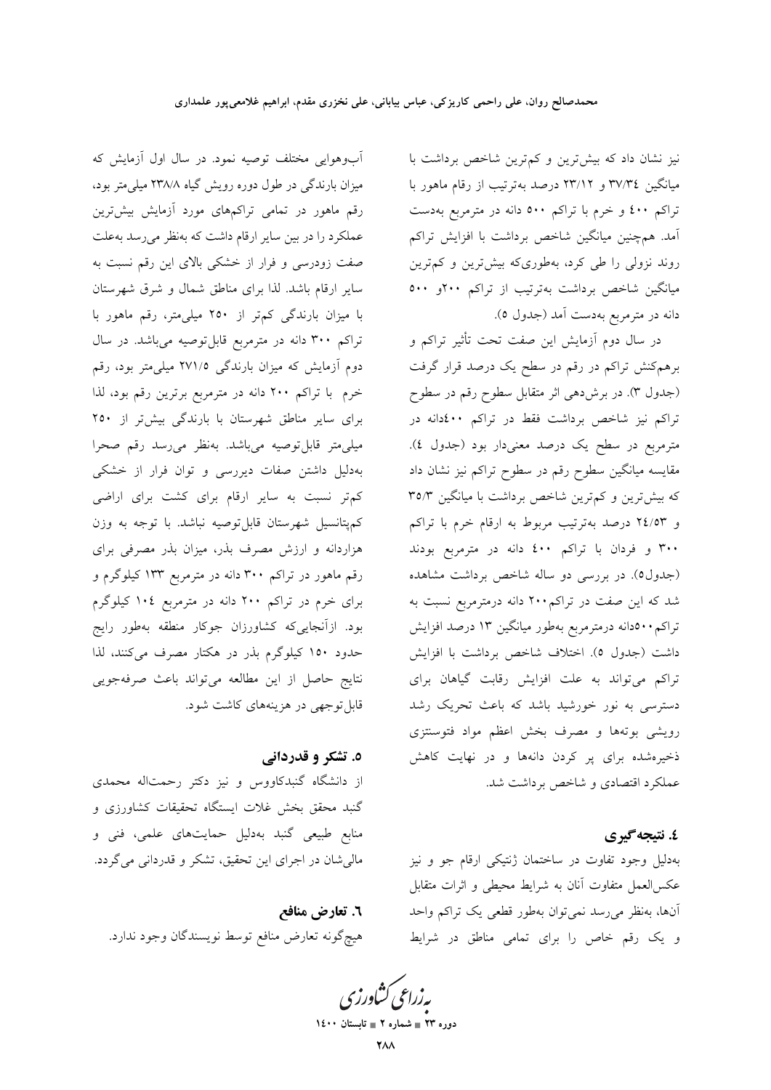نیز نشان داد که بیشترین و کمترین شاخص برداشت با میانگین ٣٧/٣٤ و ٢٣/١٢ درصد بهترتیب از رقام ماهور با تراکم ٤٠٠ و خرم با تراکم ٥٠٠ دانه در مترمربع بهدست آمد. همچنین میانگین شاخص برداشت با افزایش تراکم روند نزولی را طی کرد، بهطوریکه بیش ترین و کم ترین میانگین شاخص برداشت بهترتیب از تراکم ۲۰۰و ۵۰۰ دانه در مترمربع بهدست آمد (جدول ٥).

در سال دوم آزمایش این صفت تحت تأثیر تراکم و برهمکنش تراکم در رقم در سطح یک درصد قرار گرفت (جدول ٣). در برشدهی اثر متقابل سطوح رقم در سطوح تراکم نیز شاخص برداشت فقط در تراکم ٤٠٠دانه در مترمربع در سطح یک درصد معنیدار بود (جدول ٤). مقایسه میانگین سطوح رقم در سطوح تراکم نیز نشان داد که بیشترین و کم ترین شاخص برداشت با میانگین ۳۵/۳ و ۲٤/٥٣ درصد بهترتيب مربوط به ارقام خرم با تراكم ۳۰۰ و فردان با تراکم ٤٠٠ دانه در مترمربع بودند (جدول٥). در بررسی دو ساله شاخص برداشت مشاهده شد که این صفت در تراکم۲۰۰ دانه درمترمربع نسبت به تراکم ٥٠٠دانه درمترمربع بهطور میانگین ١٣ درصد افزایش داشت (جدول ٥). اختلاف شاخص برداشت با افزايش تراکم میتواند به علت افزایش رقابت گیاهان برای دسترسی به نور خورشید باشد که باعث تحریک رشد رويشي بوتهها و مصرف بخش اعظم مواد فتوسنتزى ذخیرهشده برای پر کردن دانهها و در نهایت کاهش عملکرد اقتصادی و شاخص برداشت شد.

### ٤. نتيجه گيري

بهدلیل وجود تفاوت در ساختمان ژنتیکی ارقام جو و نیز عکسالعمل متفاوت آنان به شرایط محیطی و اثرات متقابل آنها، بهنظر میرسد نمیتوان بهطور قطعی یک تراکم واحد و یک رقم خاص را برای تمامی مناطق در شرایط

آبوهوایی مختلف توصیه نمود. در سال اول آزمایش که میزان بارندگی در طول دوره رویش گیاه ۲۳۸/۸ میلی متر بود، رقم ماهور در تمامی تراکمهای مورد آزمایش بیشترین عملکرد را در بین سایر ارقام داشت که بهنظر میرسد بهعلت صفت زودرسی و فرار از خشکی بالای این رقم نسبت به سایر ارقام باشد. لذا برای مناطق شمال و شرق شهرستان با میزان بارندگی کمتر از ۲۵۰ میلی متر، رقم ماهور با تراکم ۳۰۰ دانه در مترمربع قابلتوصیه میباشد. در سال دوم آزمایش که میزان بارندگی ۲۷۱/۵ میلی متر بود، رقم خرم با تراکم ۲۰۰ دانه در مترمربع برترین رقم بود، لذا برای سایر مناطق شهرستان با بارندگی بیش تر از ۲۵۰ میلی متر قابل توصیه میباشد. بهنظر میرسد رقم صحرا بهدلیل داشتن صفات دیررسی و توان فرار از خشکی کم تر نسبت به سایر ارقام برای کشت برای اراضی كمپتانسيل شهرستان قابلتوصيه نباشد. با توجه به وزن هزاردانه و ارزش مصرف بذر، میزان بذر مصرفی برای رقم ماهور در تراکم ۳۰۰ دانه در مترمربع ۱۳۳ کیلوگرم و برای خرم در تراکم ۲۰۰ دانه در مترمربع ۱۰٤ کیلوگرم بود. ازآنجاییکه کشاورزان جوکار منطقه بهطور رایج حدود ۱۵۰ کیلوگرم بذر در هکتار مصرف میکنند، لذا نتايج حاصل از اين مطالعه مي تواند باعث صرفهجويي قابل توجهی در هزینههای کاشت شود.

٥. تشکر و قدردانی از دانشگاه گنبدکاووس و نیز دکتر رحمتاله محمدی گنبد محقق بخش غلات ایستگاه تحقیقات کشاورزی و منابع طبیعی گنبد بهدلیل حمایتهای علمی، فنی و مالی شان در اجرای این تحقیق، تشکر و قدردانی میگردد.

٦. تعارض منافع هيچ گونه تعارض منافع توسط نويسندگان وجود ندارد.

بەزراعى ئشاورزى

دوره ۲۳ = شماره ۲ = تابستان ۱٤۰۰